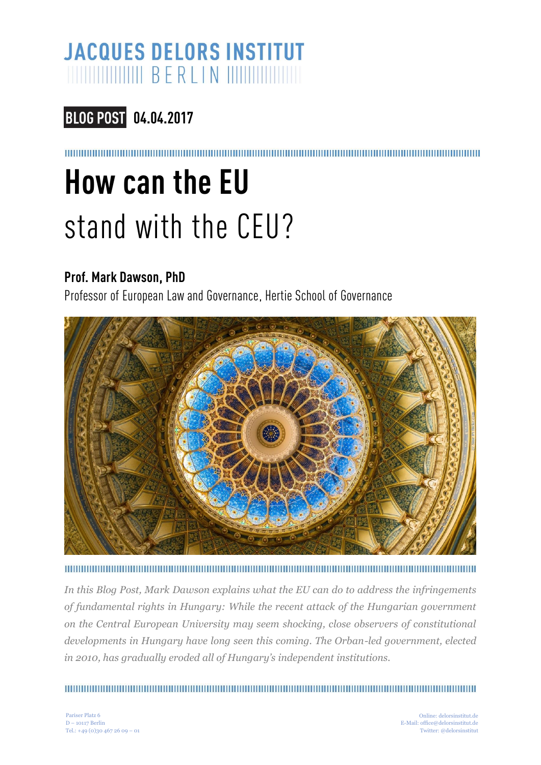## **JACQUES DELORS INSTITUT MUNICIPAL BERLIN WWW.**

### **04.04.2017**

# **How can the EU** stand with the CEU?

#### **Prof. Mark Dawson, PhD**

Professor of European Law and Governance, Hertie School of Governance



*In this Blog Post, Mark Dawson explains what the EU can do to address the infringements of fundamental rights in Hungary: While the recent attack of the Hungarian government on the Central European University may seem shocking, close observers of constitutional developments in Hungary have long seen this coming. The Orban-led government, elected in 2010, has gradually eroded all of Hungary's independent institutions.*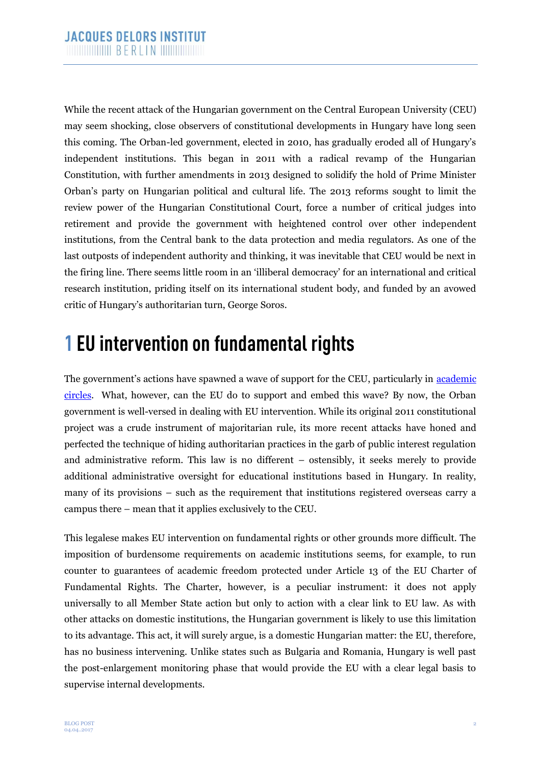While the recent attack of the Hungarian government on the Central European University (CEU) may seem shocking, close observers of constitutional developments in Hungary have long seen this coming. The Orban-led government, elected in 2010, has gradually eroded all of Hungary's independent institutions. This began in 2011 with a radical revamp of the Hungarian Constitution, with further amendments in 2013 designed to solidify the hold of Prime Minister Orban's party on Hungarian political and cultural life. The 2013 reforms sought to limit the review power of the Hungarian Constitutional Court, force a number of critical judges into retirement and provide the government with heightened control over other independent institutions, from the Central bank to the data protection and media regulators. As one of the last outposts of independent authority and thinking, it was inevitable that CEU would be next in the firing line. There seems little room in an 'illiberal democracy' for an international and critical research institution, priding itself on its international student body, and funded by an avowed critic of Hungary's authoritarian turn, George Soros.

## **1 EU intervention on fundamental rights**

The government's actions have spawned a wave of support for the CEU, particularly in [academic](https://www.hertie-school.org/en/debate/detail/content/hertie-school-condemns-legislation-that-would-impair-the-central-european-university-in-budapest/)  [circles.](https://www.hertie-school.org/en/debate/detail/content/hertie-school-condemns-legislation-that-would-impair-the-central-european-university-in-budapest/) What, however, can the EU do to support and embed this wave? By now, the Orban government is well-versed in dealing with EU intervention. While its original 2011 constitutional project was a crude instrument of majoritarian rule, its more recent attacks have honed and perfected the technique of hiding authoritarian practices in the garb of public interest regulation and administrative reform. This law is no different – ostensibly, it seeks merely to provide additional administrative oversight for educational institutions based in Hungary. In reality, many of its provisions – such as the requirement that institutions registered overseas carry a campus there – mean that it applies exclusively to the CEU.

This legalese makes EU intervention on fundamental rights or other grounds more difficult. The imposition of burdensome requirements on academic institutions seems, for example, to run counter to guarantees of academic freedom protected under Article 13 of the EU Charter of Fundamental Rights. The Charter, however, is a peculiar instrument: it does not apply universally to all Member State action but only to action with a clear link to EU law. As with other attacks on domestic institutions, the Hungarian government is likely to use this limitation to its advantage. This act, it will surely argue, is a domestic Hungarian matter: the EU, therefore, has no business intervening. Unlike states such as Bulgaria and Romania, Hungary is well past the post-enlargement monitoring phase that would provide the EU with a clear legal basis to supervise internal developments.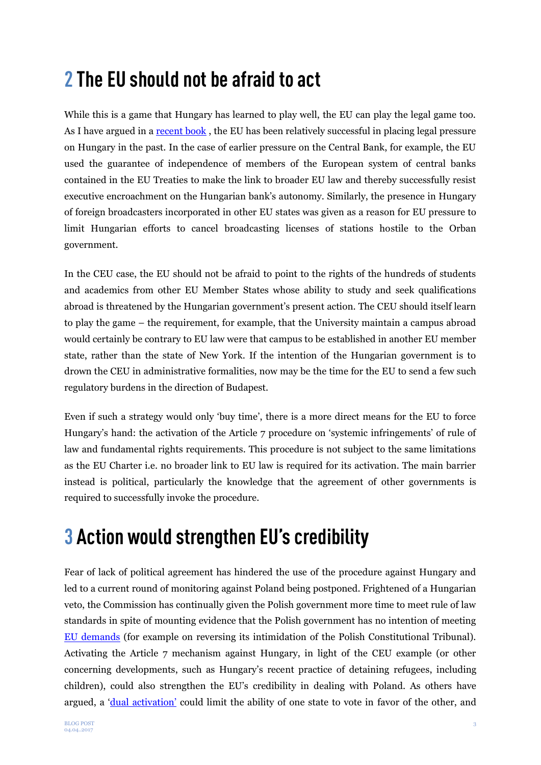## **2 The EU should not be afraid to act**

While this is a game that Hungary has learned to play well, the EU can play the legal game too. As I have argued in a [recent book](https://www.cambridge.org/core/books/the-governance-of-eu-fundamental-rights/9023A9F6E14B93F60B4BDE867F45E50E) , the EU has been relatively successful in placing legal pressure on Hungary in the past. In the case of earlier pressure on the Central Bank, for example, the EU used the guarantee of independence of members of the European system of central banks contained in the EU Treaties to make the link to broader EU law and thereby successfully resist executive encroachment on the Hungarian bank's autonomy. Similarly, the presence in Hungary of foreign broadcasters incorporated in other EU states was given as a reason for EU pressure to limit Hungarian efforts to cancel broadcasting licenses of stations hostile to the Orban government.

In the CEU case, the EU should not be afraid to point to the rights of the hundreds of students and academics from other EU Member States whose ability to study and seek qualifications abroad is threatened by the Hungarian government's present action. The CEU should itself learn to play the game – the requirement, for example, that the University maintain a campus abroad would certainly be contrary to EU law were that campus to be established in another EU member state, rather than the state of New York. If the intention of the Hungarian government is to drown the CEU in administrative formalities, now may be the time for the EU to send a few such regulatory burdens in the direction of Budapest.

Even if such a strategy would only 'buy time', there is a more direct means for the EU to force Hungary's hand: the activation of the Article 7 procedure on 'systemic infringements' of rule of law and fundamental rights requirements. This procedure is not subject to the same limitations as the EU Charter i.e. no broader link to EU law is required for its activation. The main barrier instead is political, particularly the knowledge that the agreement of other governments is required to successfully invoke the procedure.

## **3 Action would strengthen EU's credibility**

Fear of lack of political agreement has hindered the use of the procedure against Hungary and led to a current round of monitoring against Poland being postponed. Frightened of a Hungarian veto, the Commission has continually given the Polish government more time to meet rule of law standards in spite of mounting evidence that the Polish government has no intention of meeting [EU demands](http://verfassungsblog.de/category/regionen/poland/) (for example on reversing its intimidation of the Polish Constitutional Tribunal). Activating the Article 7 mechanism against Hungary, in light of the CEU example (or other concerning developments, such as Hungary's recent practice of detaining refugees, including children), could also strengthen the EU's credibility in dealing with Poland. As others have argued, a ['dual activation'](http://verfassungsblog.de/can-poland-be-sanctioned-by-the-eu-not-unless-hungary-is-sanctioned-too/) could limit the ability of one state to vote in favor of the other, and